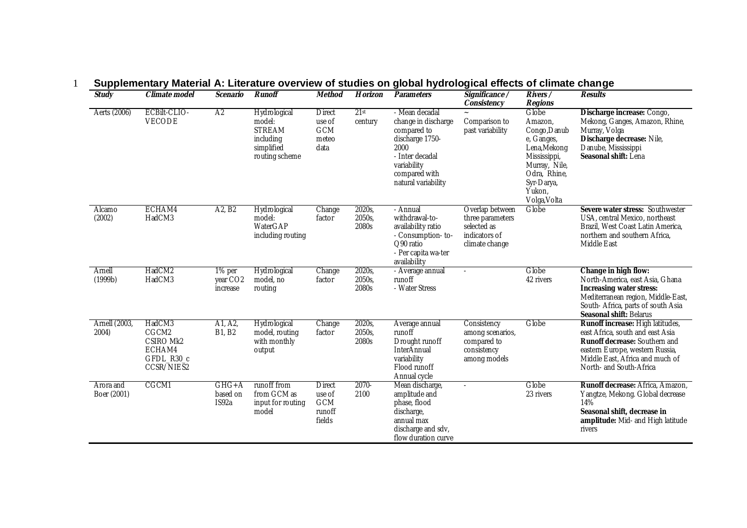| <b>Study</b>             | Climate model                                                      | Scenario                                   | Runoff                                                                               | Method                                                    | Horizon                   | Parameters                                                                                                                                                | Significance /<br>Consistency                                                         | Rivers /<br>Regions                                                                                                                                     | Results                                                                                                                                                                                                |
|--------------------------|--------------------------------------------------------------------|--------------------------------------------|--------------------------------------------------------------------------------------|-----------------------------------------------------------|---------------------------|-----------------------------------------------------------------------------------------------------------------------------------------------------------|---------------------------------------------------------------------------------------|---------------------------------------------------------------------------------------------------------------------------------------------------------|--------------------------------------------------------------------------------------------------------------------------------------------------------------------------------------------------------|
| Aerts (2006)             | ECBilt-CLIO-<br>VECODE                                             | A <sub>2</sub>                             | Hydrological<br>model:<br><b>STREAM</b><br>including<br>simplified<br>routing scheme | <b>Direct</b><br>use of<br><b>GCM</b><br>meteo<br>data    | 21st<br>century           | - Mean decadal<br>change in discharge<br>compared to<br>discharge 1750-<br>2000<br>- Inter decadal<br>variability<br>compared with<br>natural variability | Comparison to<br>past variability                                                     | Globe<br>Amazon,<br>Congo, Danub<br>e, Ganges,<br>Lena, Mekong<br>Mississippi,<br>Murray, Nile,<br>Odra, Rhine,<br>Syr-Darya,<br>Yukon,<br>Volga, Volta | Discharge increase: Congo,<br>Mekong, Ganges, Amazon, Rhine,<br>Murray, Volga<br>Discharge decrease: Nile,<br>Danube, Mississippi<br>Seasonal shift: Lena                                              |
| Alcamo<br>(2002)         | ECHAM4<br>HadCM3                                                   | A <sub>2</sub> , B <sub>2</sub>            | Hydrological<br>model:<br>WaterGAP<br>including routing                              | Change<br>factor                                          | 2020s,<br>2050s,<br>2080s | - Annual<br>withdrawal-to-<br>availability ratio<br>- Consumption-to-<br>O90 ratio<br>- Per capita wa-ter<br>availability                                 | Overlap between<br>three parameters<br>selected as<br>indicators of<br>climate change | Globe                                                                                                                                                   | Severe water stress: Southwester<br>USA, central Mexico, northeast<br>Brazil, West Coast Latin America,<br>northern and southern Africa,<br>Middle East                                                |
| Arnell<br>(1999b)        | HadCM2<br>HadCM3                                                   | 1% per<br>year CO <sub>2</sub><br>increase | Hydrological<br>model, no<br>routing                                                 | Change<br>factor                                          | 2020s,<br>2050s,<br>2080s | - Average annual<br>runoff<br>- Water Stress                                                                                                              |                                                                                       | Globe<br>42 rivers                                                                                                                                      | Change in high flow:<br>North-America, east Asia, Ghana<br>Increasing water stress:<br>Mediterranean region, Middle-East,<br>South- Africa, parts of south Asia<br>Seasonal shift: Belarus             |
| Arnell (2003,<br>2004)   | HadCM3<br>CGCM2<br>CSIRO Mk2<br>ECHAM4<br>GFDL_R30_c<br>CCSR/NIES2 | A1, A2,<br>B1, B2                          | Hydrological<br>model, routing<br>with monthly<br>output                             | Change<br>factor                                          | 2020s,<br>2050s,<br>2080s | Average annual<br>runoff<br>Drought runoff<br><b>InterAnnual</b><br>variability<br>Flood runoff<br>Annual cycle                                           | Consistency<br>among scenarios,<br>compared to<br>consistency<br>among models         | Globe                                                                                                                                                   | Runoff increase: High latitudes,<br>east Africa, south and east Asia<br>Runoff decrease: Southern and<br>eastern Europe, western Russia,<br>Middle East, Africa and much of<br>North- and South-Africa |
| Arora and<br>Boer (2001) | CGCM1                                                              | $GHG+A$<br>based on<br>IS92a               | runoff from<br>from GCM as<br>input for routing<br>model                             | <b>Direct</b><br>use of<br><b>GCM</b><br>runoff<br>fields | 2070-<br>2100             | Mean discharge,<br>amplitude and<br>phase, flood<br>discharge,<br>annual max<br>discharge and sdv,<br>flow duration curve                                 |                                                                                       | Globe<br>23 rivers                                                                                                                                      | Runoff decrease: Africa, Amazon,<br>Yangtze, Mekong. Global decrease<br>14%<br>Seasonal shift, decrease in<br>amplitude: Mid- and High latitude<br>rivers                                              |

## 1 **Supplementary Material A: Literature overview of studies on global hydrological effects of climate change**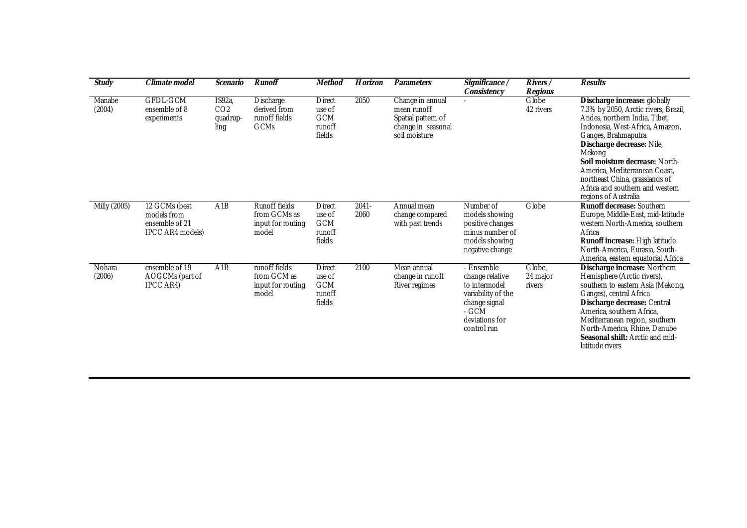| Study            | Climate model                                                             | Scenario                                     | Runoff                                                      | Method                                                     | Horizon          | Parameters                                                                                   | Significance /<br>Consistency                                                                                                   | $Rivers$ /<br>Regions        | Results                                                                                                                                                                                                                                                                                                                                                                |
|------------------|---------------------------------------------------------------------------|----------------------------------------------|-------------------------------------------------------------|------------------------------------------------------------|------------------|----------------------------------------------------------------------------------------------|---------------------------------------------------------------------------------------------------------------------------------|------------------------------|------------------------------------------------------------------------------------------------------------------------------------------------------------------------------------------------------------------------------------------------------------------------------------------------------------------------------------------------------------------------|
| Manabe<br>(2004) | <b>GFDL-GCM</b><br>ensemble of 8<br>experiments                           | IS92a<br>CO <sub>2</sub><br>quadrup-<br>ling | Discharge<br>derived from<br>runoff fields<br>GCMs          | <b>D</b> irect<br>use of<br><b>GCM</b><br>runoff<br>fields | 2050             | Change in annual<br>mean runoff<br>Spatial pattern of<br>change in seasonal<br>soil moisture |                                                                                                                                 | Globe<br>42 rivers           | Discharge increase: globally<br>7.3% by 2050, Arctic rivers, Brazil,<br>Andes, northern India, Tibet,<br>Indonesia, West-Africa, Amazon,<br>Ganges, Brahmaputra<br>Discharge decrease: Nile,<br>Mekong<br>Soil moisture decrease: North-<br>America, Mediterranean Coast,<br>northeast China, grasslands of<br>Africa and southern and western<br>regions of Australia |
| Milly (2005)     | 12 GCMs (best<br>models from<br>ensemble of 21<br><b>IPCC AR4 models)</b> | A <sub>1</sub> B                             | Runoff fields<br>from GCMs as<br>input for routing<br>model | <b>Direct</b><br>use of<br><b>GCM</b><br>runoff<br>fields  | $2041 -$<br>2060 | Annual mean<br>change compared<br>with past trends                                           | Number of<br>models showing<br>positive changes<br>minus number of<br>models showing<br>negative change                         | Globe                        | Runoff decrease: Southern<br>Europe, Middle-East, mid-latitude<br>western North-America, southern<br>Africa<br>Runoff increase: High latitude<br>North-America, Eurasia, South-<br>America, eastern equatorial Africa                                                                                                                                                  |
| Nohara<br>(2006) | ensemble of 19<br>AOGCMs (part of<br>IPCC AR4)                            | A1B                                          | runoff fields<br>from GCM as<br>input for routing<br>model  | <b>Direct</b><br>use of<br><b>GCM</b><br>runoff<br>fields  | 2100             | Mean annual<br>change in runoff<br>River regimes                                             | - Ensemble<br>change relative<br>to intermodel<br>variability of the<br>change signal<br>- GCM<br>deviations for<br>control run | Globe,<br>24 major<br>rivers | Discharge increase: Northern<br>Hemisphere (Arctic rivers),<br>southern to eastern Asia (Mekong,<br>Ganges), central Africa<br>Discharge decrease: Central<br>America, southern Africa,<br>Mediterranean region, southern<br>North-America, Rhine, Danube<br>Seasonal shift: Arctic and mid-<br>latitude rivers                                                        |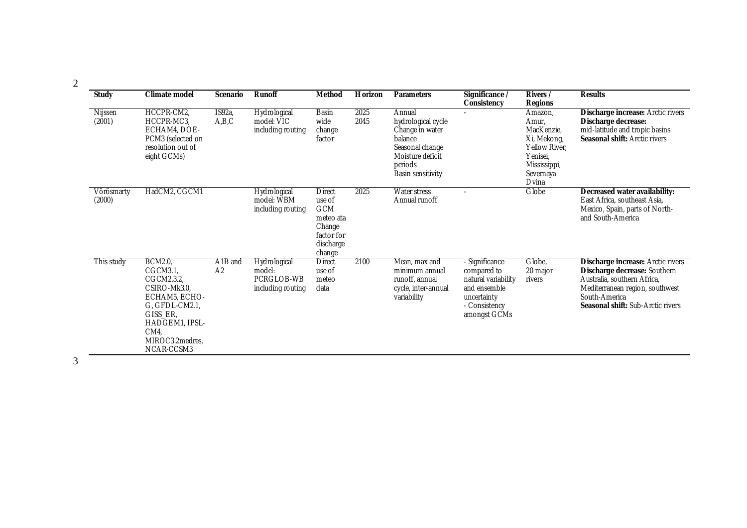| Study                | Climate model                                                                                                                                                    | Scenario                              | Runoff                                                    | Method                                                                                            | Horizon      | Parameters                                                                                                                        | Significance /<br>Consistency                                                                                        | Rivers /<br>Regions                                                                                              | Results                                                                                                                                                                                   |
|----------------------|------------------------------------------------------------------------------------------------------------------------------------------------------------------|---------------------------------------|-----------------------------------------------------------|---------------------------------------------------------------------------------------------------|--------------|-----------------------------------------------------------------------------------------------------------------------------------|----------------------------------------------------------------------------------------------------------------------|------------------------------------------------------------------------------------------------------------------|-------------------------------------------------------------------------------------------------------------------------------------------------------------------------------------------|
| Nijssen<br>(2001)    | HCCPR-CM2,<br>HCCPR-MC3.<br>ECHAM4, DOE-<br>PCM3 (selected on<br>resolution out of<br>eight GCMs)                                                                | IS92a,<br>A,B,C                       | Hydrological<br>model: VIC<br>including routing           | Basin<br>wide<br>change<br>factor                                                                 | 2025<br>2045 | Annual<br>hydrological cycle<br>Change in water<br>balance<br>Seasonal change<br>Moisture deficit<br>periods<br>Basin sensitivity |                                                                                                                      | Amazon,<br>Amur.<br>MacKenzie.<br>Xi, Mekong,<br>Yellow River,<br>Yenisei.<br>Mississippi,<br>Severnaya<br>Dvina | Discharge increase: Arctic rivers<br>Discharge decrease:<br>mid-latitude and tropic basins<br>Seasonal shift: Arctic rivers                                                               |
| Vörösmarty<br>(2000) | HadCM2, CGCM1                                                                                                                                                    |                                       | Hydrological<br>model: WBM<br>including routing           | <b>Direct</b><br>use of<br><b>GCM</b><br>meteo ata<br>Change<br>factor for<br>discharge<br>change | 2025         | Water stress<br>Annual runoff                                                                                                     |                                                                                                                      | Globe                                                                                                            | Decreased water availability:<br>East Africa, southeast Asia,<br>Mexico, Spain, parts of North-<br>and South-America                                                                      |
| This study           | <b>BCM2.0</b><br>CGCM3.1,<br>CGCM2.3.2<br>CSIRO-Mk3.0,<br>ECHAM5, ECHO-<br>G, GFDL-CM2.1,<br>GISS_ER,<br>HADGEM1, IPSL-<br>CM4.<br>MIROC3.2medres,<br>NCAR-CCSM3 | A <sub>1B</sub> and<br>A <sub>2</sub> | Hydrological<br>model:<br>PCRGLOB-WB<br>including routing | <b>Direct</b><br>use of<br>meteo<br>data                                                          | 2100         | Mean, max and<br>minimum annual<br>runoff, annual<br>cycle, inter-annual<br>variability                                           | - Significance<br>compared to<br>natural variability<br>and ensemble<br>uncertainty<br>- Consistency<br>amongst GCMs | Globe,<br>20 major<br>rivers                                                                                     | Discharge increase: Arctic rivers<br>Discharge decrease: Southern<br>Australia, southern Africa,<br>Mediterranean region, southwest<br>South-America<br>Seasonal shift: Sub-Arctic rivers |

2

3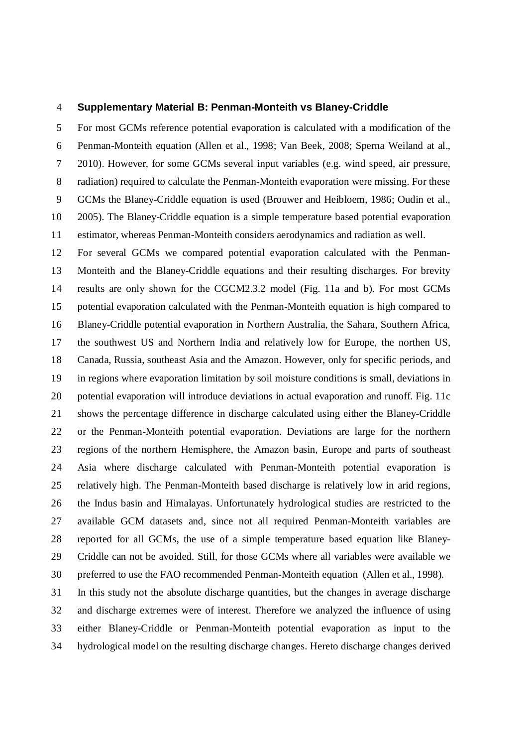## 4 **Supplementary Material B: Penman-Monteith vs Blaney-Criddle**

5 For most GCMs reference potential evaporation is calculated with a modification of the 6 Penman-Monteith equation (Allen et al., 1998; Van Beek, 2008; Sperna Weiland at al., 7 2010). However, for some GCMs several input variables (e.g. wind speed, air pressure, 8 radiation) required to calculate the Penman-Monteith evaporation were missing. For these 9 GCMs the Blaney-Criddle equation is used (Brouwer and Heibloem, 1986; Oudin et al., 10 2005). The Blaney-Criddle equation is a simple temperature based potential evaporation 11 estimator, whereas Penman-Monteith considers aerodynamics and radiation as well.

12 For several GCMs we compared potential evaporation calculated with the Penman-13 Monteith and the Blaney-Criddle equations and their resulting discharges. For brevity 14 results are only shown for the CGCM2.3.2 model (Fig. 11a and b). For most GCMs 15 potential evaporation calculated with the Penman-Monteith equation is high compared to 16 Blaney-Criddle potential evaporation in Northern Australia, the Sahara, Southern Africa, 17 the southwest US and Northern India and relatively low for Europe, the northen US, 18 Canada, Russia, southeast Asia and the Amazon. However, only for specific periods, and 19 in regions where evaporation limitation by soil moisture conditions is small, deviations in 20 potential evaporation will introduce deviations in actual evaporation and runoff. Fig. 11c 21 shows the percentage difference in discharge calculated using either the Blaney-Criddle 22 or the Penman-Monteith potential evaporation. Deviations are large for the northern 23 regions of the northern Hemisphere, the Amazon basin, Europe and parts of southeast 24 Asia where discharge calculated with Penman-Monteith potential evaporation is 25 relatively high. The Penman-Monteith based discharge is relatively low in arid regions, 26 the Indus basin and Himalayas. Unfortunately hydrological studies are restricted to the 27 available GCM datasets and, since not all required Penman-Monteith variables are 28 reported for all GCMs, the use of a simple temperature based equation like Blaney-29 Criddle can not be avoided. Still, for those GCMs where all variables were available we 30 preferred to use the FAO recommended Penman-Monteith equation (Allen et al., 1998).

31 In this study not the absolute discharge quantities, but the changes in average discharge 32 and discharge extremes were of interest. Therefore we analyzed the influence of using 33 either Blaney-Criddle or Penman-Monteith potential evaporation as input to the 34 hydrological model on the resulting discharge changes. Hereto discharge changes derived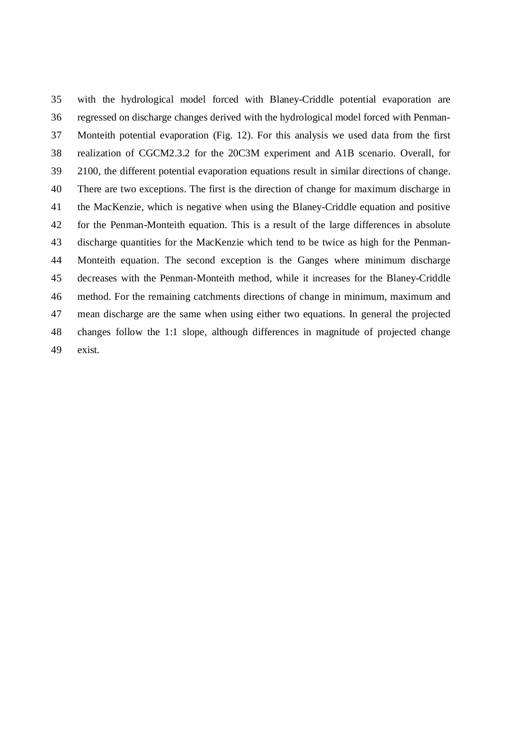35 with the hydrological model forced with Blaney-Criddle potential evaporation are 36 regressed on discharge changes derived with the hydrological model forced with Penman-37 Monteith potential evaporation (Fig. 12). For this analysis we used data from the first 38 realization of CGCM2.3.2 for the 20C3M experiment and A1B scenario. Overall, for 39 2100, the different potential evaporation equations result in similar directions of change. 40 There are two exceptions. The first is the direction of change for maximum discharge in 41 the MacKenzie, which is negative when using the Blaney-Criddle equation and positive 42 for the Penman-Monteith equation. This is a result of the large differences in absolute 43 discharge quantities for the MacKenzie which tend to be twice as high for the Penman-44 Monteith equation. The second exception is the Ganges where minimum discharge 45 decreases with the Penman-Monteith method, while it increases for the Blaney-Criddle 46 method. For the remaining catchments directions of change in minimum, maximum and 47 mean discharge are the same when using either two equations. In general the projected 48 changes follow the 1:1 slope, although differences in magnitude of projected change 49 exist.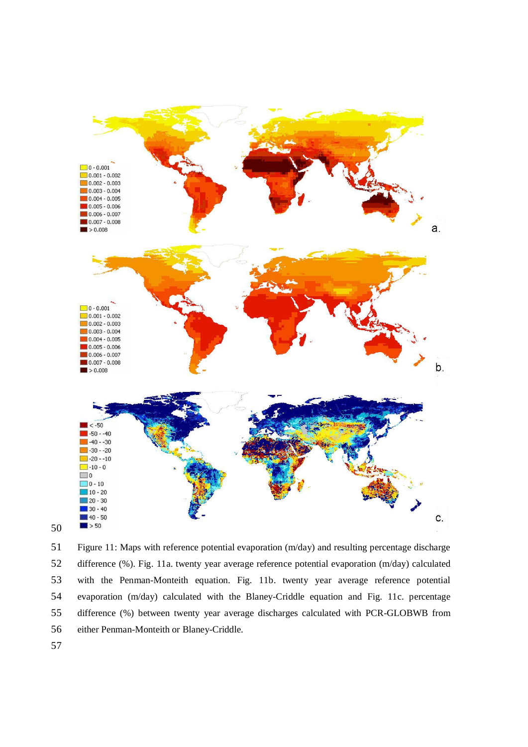

Figure 11: Maps with reference potential evaporation (m/day) and resulting percentage discharge difference (%). Fig. 11a. twenty year average reference potential evaporation (m/day) calculated with the Penman-Monteith equation. Fig. 11b. twenty year average reference potential evaporation (m/day) calculated with the Blaney-Criddle equation and Fig. 11c. percentage difference (%) between twenty year average discharges calculated with PCR-GLOBWB from either Penman-Monteith or Blaney-Criddle.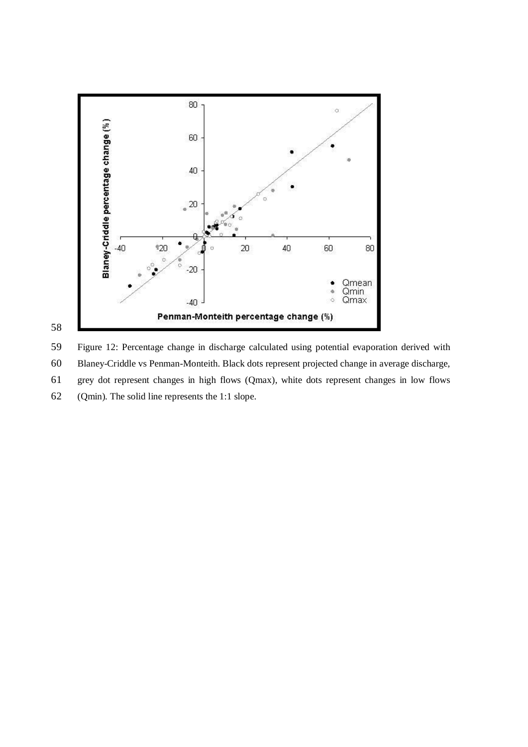

Figure 12: Percentage change in discharge calculated using potential evaporation derived with Blaney-Criddle vs Penman-Monteith. Black dots represent projected change in average discharge, grey dot represent changes in high flows (Qmax), white dots represent changes in low flows (Qmin). The solid line represents the 1:1 slope.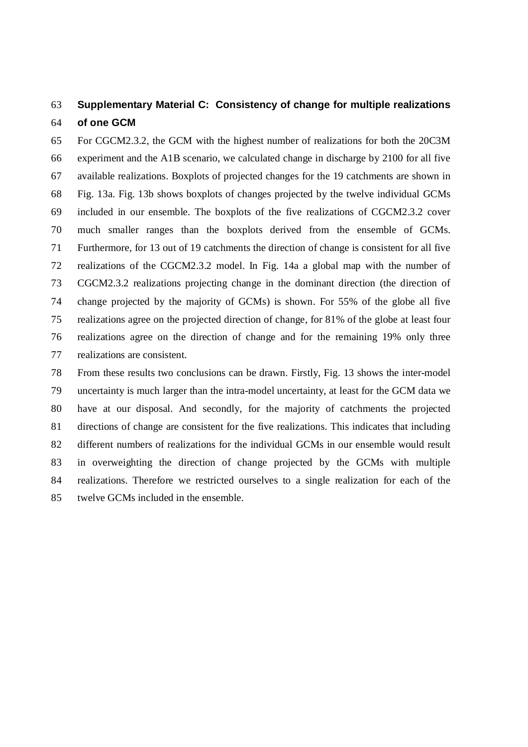## 63 **Supplementary Material C: Consistency of change for multiple realizations**  64 **of one GCM**

65 For CGCM2.3.2, the GCM with the highest number of realizations for both the 20C3M 66 experiment and the A1B scenario, we calculated change in discharge by 2100 for all five 67 available realizations. Boxplots of projected changes for the 19 catchments are shown in 68 Fig. 13a. Fig. 13b shows boxplots of changes projected by the twelve individual GCMs 69 included in our ensemble. The boxplots of the five realizations of CGCM2.3.2 cover 70 much smaller ranges than the boxplots derived from the ensemble of GCMs. 71 Furthermore, for 13 out of 19 catchments the direction of change is consistent for all five 72 realizations of the CGCM2.3.2 model. In Fig. 14a a global map with the number of 73 CGCM2.3.2 realizations projecting change in the dominant direction (the direction of 74 change projected by the majority of GCMs) is shown. For 55% of the globe all five 75 realizations agree on the projected direction of change, for 81% of the globe at least four 76 realizations agree on the direction of change and for the remaining 19% only three 77 realizations are consistent.

78 From these results two conclusions can be drawn. Firstly, Fig. 13 shows the inter-model 79 uncertainty is much larger than the intra-model uncertainty, at least for the GCM data we 80 have at our disposal. And secondly, for the majority of catchments the projected 81 directions of change are consistent for the five realizations. This indicates that including 82 different numbers of realizations for the individual GCMs in our ensemble would result 83 in overweighting the direction of change projected by the GCMs with multiple 84 realizations. Therefore we restricted ourselves to a single realization for each of the 85 twelve GCMs included in the ensemble.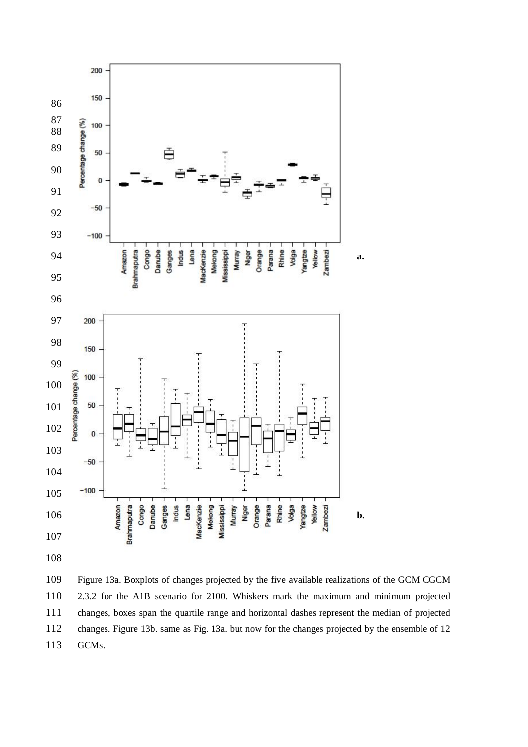

Figure 13a. Boxplots of changes projected by the five available realizations of the GCM CGCM 2.3.2 for the A1B scenario for 2100. Whiskers mark the maximum and minimum projected changes, boxes span the quartile range and horizontal dashes represent the median of projected changes. Figure 13b. same as Fig. 13a. but now for the changes projected by the ensemble of 12 GCMs.